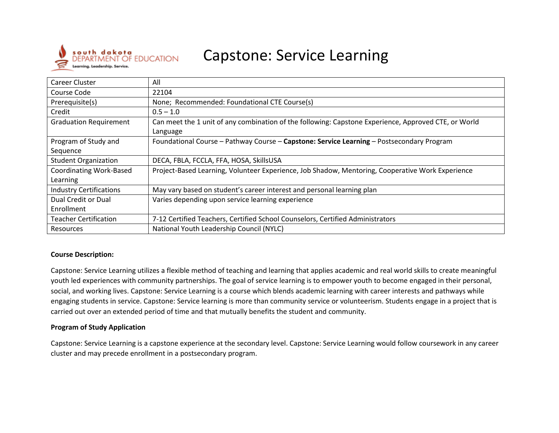

# Capstone: Service Learning

| <b>Career Cluster</b>          | All                                                                                                  |
|--------------------------------|------------------------------------------------------------------------------------------------------|
| Course Code                    | 22104                                                                                                |
| Prerequisite(s)                | None; Recommended: Foundational CTE Course(s)                                                        |
| Credit                         | $0.5 - 1.0$                                                                                          |
| <b>Graduation Requirement</b>  | Can meet the 1 unit of any combination of the following: Capstone Experience, Approved CTE, or World |
|                                | Language                                                                                             |
| Program of Study and           | Foundational Course - Pathway Course - Capstone: Service Learning - Postsecondary Program            |
| Sequence                       |                                                                                                      |
| <b>Student Organization</b>    | DECA, FBLA, FCCLA, FFA, HOSA, SkillsUSA                                                              |
| <b>Coordinating Work-Based</b> | Project-Based Learning, Volunteer Experience, Job Shadow, Mentoring, Cooperative Work Experience     |
| Learning                       |                                                                                                      |
| <b>Industry Certifications</b> | May vary based on student's career interest and personal learning plan                               |
| Dual Credit or Dual            | Varies depending upon service learning experience                                                    |
| Enrollment                     |                                                                                                      |
| <b>Teacher Certification</b>   | 7-12 Certified Teachers, Certified School Counselors, Certified Administrators                       |
| Resources                      | National Youth Leadership Council (NYLC)                                                             |

#### **Course Description:**

Capstone: Service Learning utilizes a flexible method of teaching and learning that applies academic and real world skills to create meaningful youth led experiences with community partnerships. The goal of service learning is to empower youth to become engaged in their personal, social, and working lives. Capstone: Service Learning is a course which blends academic learning with career interests and pathways while engaging students in service. Capstone: Service learning is more than community service or volunteerism. Students engage in a project that is carried out over an extended period of time and that mutually benefits the student and community.

#### **Program of Study Application**

Capstone: Service Learning is a capstone experience at the secondary level. Capstone: Service Learning would follow coursework in any career cluster and may precede enrollment in a postsecondary program.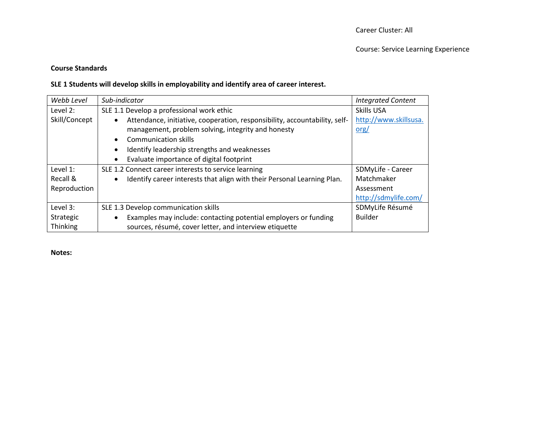## **Course Standards**

## **SLE 1 Students will develop skills in employability and identify area of career interest.**

| Webb Level    | Sub-indicator                                                                           | <b>Integrated Content</b> |
|---------------|-----------------------------------------------------------------------------------------|---------------------------|
| Level 2:      | SLE 1.1 Develop a professional work ethic                                               | Skills USA                |
| Skill/Concept | Attendance, initiative, cooperation, responsibility, accountability, self-<br>$\bullet$ | http://www.skillsusa.     |
|               | management, problem solving, integrity and honesty                                      | <u>org/</u>               |
|               | <b>Communication skills</b><br>$\bullet$                                                |                           |
|               | Identify leadership strengths and weaknesses<br>$\bullet$                               |                           |
|               | Evaluate importance of digital footprint<br>$\bullet$                                   |                           |
| Level 1:      | SLE 1.2 Connect career interests to service learning                                    | SDMyLife - Career         |
| Recall &      | Identify career interests that align with their Personal Learning Plan.<br>$\bullet$    | Matchmaker                |
| Reproduction  |                                                                                         | Assessment                |
|               |                                                                                         | http://sdmylife.com/      |
| Level 3:      | SLE 1.3 Develop communication skills                                                    | SDMyLife Résumé           |
| Strategic     | Examples may include: contacting potential employers or funding<br>$\bullet$            | <b>Builder</b>            |
| Thinking      | sources, résumé, cover letter, and interview etiquette                                  |                           |

**Notes:**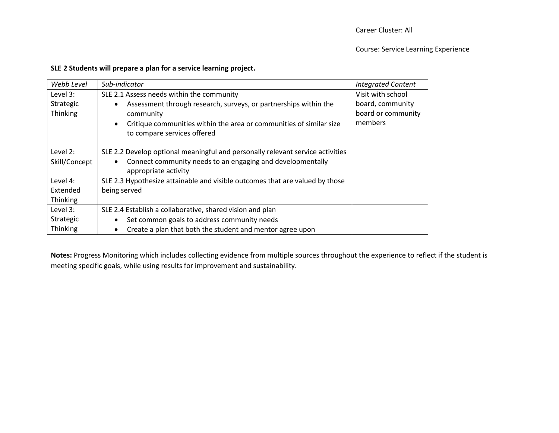#### Course: Service Learning Experience

### **SLE 2 Students will prepare a plan for a service learning project.**

| Webb Level      | Sub-indicator                                                                    | <b>Integrated Content</b> |
|-----------------|----------------------------------------------------------------------------------|---------------------------|
| Level $3:$      | SLE 2.1 Assess needs within the community                                        | Visit with school         |
| Strategic       | Assessment through research, surveys, or partnerships within the<br>$\bullet$    | board, community          |
| <b>Thinking</b> | community                                                                        | board or community        |
|                 | Critique communities within the area or communities of similar size<br>$\bullet$ | members                   |
|                 | to compare services offered                                                      |                           |
|                 |                                                                                  |                           |
| Level 2:        | SLE 2.2 Develop optional meaningful and personally relevant service activities   |                           |
| Skill/Concept   | Connect community needs to an engaging and developmentally<br>$\bullet$          |                           |
|                 | appropriate activity                                                             |                           |
| Level 4:        | SLE 2.3 Hypothesize attainable and visible outcomes that are valued by those     |                           |
| Extended        | being served                                                                     |                           |
| Thinking        |                                                                                  |                           |
| Level 3:        | SLE 2.4 Establish a collaborative, shared vision and plan                        |                           |
| Strategic       | Set common goals to address community needs<br>$\bullet$                         |                           |
| Thinking        | Create a plan that both the student and mentor agree upon<br>$\bullet$           |                           |

**Notes:** Progress Monitoring which includes collecting evidence from multiple sources throughout the experience to reflect if the student is meeting specific goals, while using results for improvement and sustainability.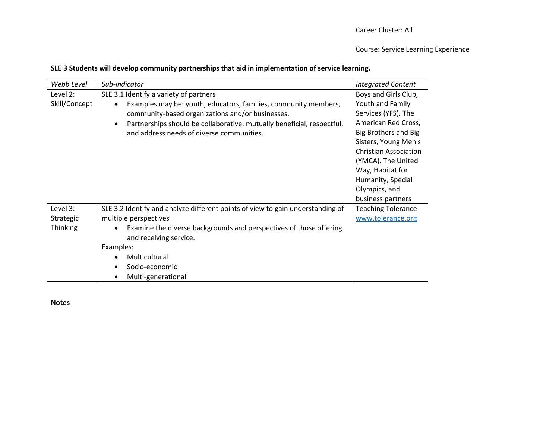#### Course: Service Learning Experience

## **SLE 3 Students will develop community partnerships that aid in implementation of service learning.**

| Webb Level      | Sub-indicator                                                                       | <b>Integrated Content</b>    |
|-----------------|-------------------------------------------------------------------------------------|------------------------------|
| Level 2:        | SLE 3.1 Identify a variety of partners                                              | Boys and Girls Club,         |
| Skill/Concept   | Examples may be: youth, educators, families, community members,<br>$\bullet$        | Youth and Family             |
|                 | community-based organizations and/or businesses.                                    | Services (YFS), The          |
|                 | Partnerships should be collaborative, mutually beneficial, respectful,<br>$\bullet$ | American Red Cross,          |
|                 | and address needs of diverse communities.                                           | Big Brothers and Big         |
|                 |                                                                                     | Sisters, Young Men's         |
|                 |                                                                                     | <b>Christian Association</b> |
|                 |                                                                                     | (YMCA), The United           |
|                 |                                                                                     | Way, Habitat for             |
|                 |                                                                                     | Humanity, Special            |
|                 |                                                                                     | Olympics, and                |
|                 |                                                                                     | business partners            |
| Level 3:        | SLE 3.2 Identify and analyze different points of view to gain understanding of      | <b>Teaching Tolerance</b>    |
| Strategic       | multiple perspectives                                                               | www.tolerance.org            |
| <b>Thinking</b> | Examine the diverse backgrounds and perspectives of those offering                  |                              |
|                 | and receiving service.                                                              |                              |
|                 | Examples:                                                                           |                              |
|                 | Multicultural                                                                       |                              |
|                 | Socio-economic                                                                      |                              |
|                 | Multi-generational<br>$\bullet$                                                     |                              |

**Notes**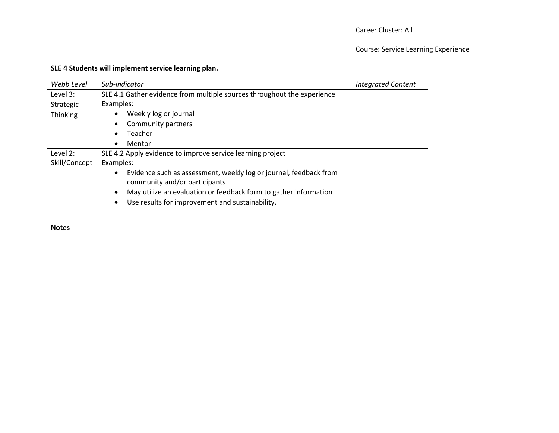## Course: Service Learning Experience

## **SLE 4 Students will implement service learning plan.**

| Webb Level      | Sub-indicator                                                                  | <b>Integrated Content</b> |
|-----------------|--------------------------------------------------------------------------------|---------------------------|
| Level $3:$      | SLE 4.1 Gather evidence from multiple sources throughout the experience        |                           |
| Strategic       | Examples:                                                                      |                           |
| <b>Thinking</b> | Weekly log or journal                                                          |                           |
|                 | Community partners<br>$\bullet$                                                |                           |
|                 | Teacher<br>$\bullet$                                                           |                           |
|                 | Mentor<br>$\bullet$                                                            |                           |
| Level 2:        | SLE 4.2 Apply evidence to improve service learning project                     |                           |
| Skill/Concept   | Examples:                                                                      |                           |
|                 | Evidence such as assessment, weekly log or journal, feedback from<br>$\bullet$ |                           |
|                 | community and/or participants                                                  |                           |
|                 | May utilize an evaluation or feedback form to gather information<br>$\bullet$  |                           |
|                 | Use results for improvement and sustainability.<br>$\bullet$                   |                           |

**Notes**